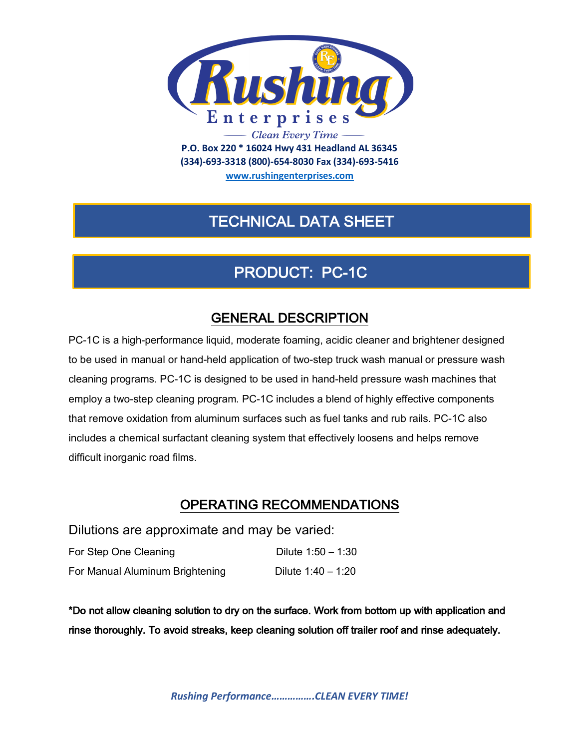

**(334)-693-3318 (800)-654-8030 Fax (334)-693-5416**

**www.rushingenterprises.com**

## TECHNICAL DATA SHEET

# PRODUCT: PC-1C

## GENERAL DESCRIPTION

PC-1C is a high-performance liquid, moderate foaming, acidic cleaner and brightener designed to be used in manual or hand-held application of two-step truck wash manual or pressure wash cleaning programs. PC-1C is designed to be used in hand-held pressure wash machines that employ a two-step cleaning program. PC-1C includes a blend of highly effective components that remove oxidation from aluminum surfaces such as fuel tanks and rub rails. PC-1C also includes a chemical surfactant cleaning system that effectively loosens and helps remove difficult inorganic road films.

## OPERATING RECOMMENDATIONS

Dilutions are approximate and may be varied:

| For Step One Cleaning           | Dilute $1:50 - 1:30$ |
|---------------------------------|----------------------|
| For Manual Aluminum Brightening | Dilute 1:40 – 1:20   |

\*Do not allow cleaning solution to dry on the surface. Work from bottom up with application and rinse thoroughly. To avoid streaks, keep cleaning solution off trailer roof and rinse adequately.

*Rushing Performance…………….CLEAN EVERY TIME!*